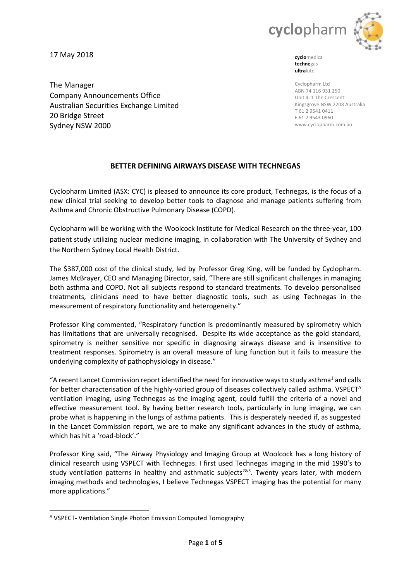

17 May 2018

**cyclo**medica **techne**gas **ultra**lute

Cyclopharm Ltd ABN 74 116 931 250 Unit 4, 1 The Crescent Kingsgrove NSW 2208 Australia T 61 2 9541 0411 F 61 2 9543 0960 www.cyclopharm.com.au

The Manager Company Announcements Office Australian Securities Exchange Limited 20 Bridge Street Sydney NSW 2000

# **BETTER DEFINING AIRWAYS DISEASE WITH TECHNEGAS**

Cyclopharm Limited (ASX: CYC) is pleased to announce its core product, Technegas, is the focus of a new clinical trial seeking to develop better tools to diagnose and manage patients suffering from Asthma and Chronic Obstructive Pulmonary Disease (COPD).

Cyclopharm will be working with the Woolcock Institute for Medical Research on the three-year, 100 patient study utilizing nuclear medicine imaging, in collaboration with The University of Sydney and the Northern Sydney Local Health District.

The \$387,000 cost of the clinical study, led by Professor Greg King, will be funded by Cyclopharm. James McBrayer, CEO and Managing Director, said, "There are still significant challenges in managing both asthma and COPD. Not all subjects respond to standard treatments. To develop personalised treatments, clinicians need to have better diagnostic tools, such as using Technegas in the measurement of respiratory functionality and heterogeneity."

Professor King commented, "Respiratory function is predominantly measured by spirometry which has limitations that are universally recognised. Despite its wide acceptance as the gold standard, spirometry is neither sensitive nor specific in diagnosing airways disease and is insensitive to treatment responses. Spirometry is an overall measure of lung function but it fails to measure the underlying complexity of pathophysiology in disease."

"A recent Lancet Commission report identified the need for innovative ways to study asthma<sup>1</sup> and calls for better characterisation of the highly-varied group of diseases collectively called asthma. VSPECT<sup>A</sup> ventilation imaging, using Technegas as the imaging agent, could fulfill the criteria of a novel and effective measurement tool. By having better research tools, particularly in lung imaging, we can probe what is happening in the lungs of asthma patients. This is desperately needed if, as suggested in the Lancet Commission report, we are to make any significant advances in the study of asthma, which has hit a 'road-block'."

Professor King said, "The Airway Physiology and Imaging Group at Woolcock has a long history of clinical research using VSPECT with Technegas. I first used Technegas imaging in the mid 1990's to study ventilation patterns in healthy and asthmatic subjects<sup>2&3</sup>. Twenty years later, with modern imaging methods and technologies, I believe Technegas VSPECT imaging has the potential for many more applications."

<sup>1</sup> <sup>A</sup> VSPECT- Ventilation Single Photon Emission Computed Tomography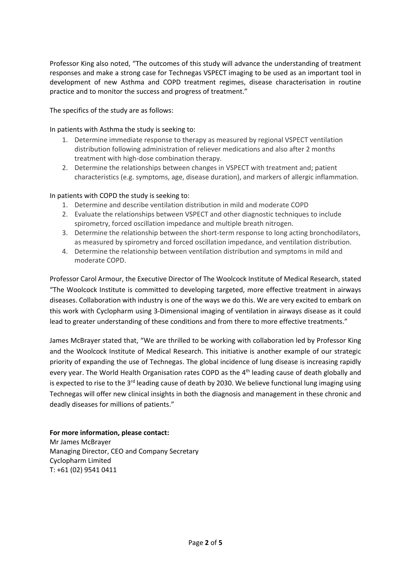Professor King also noted, "The outcomes of this study will advance the understanding of treatment responses and make a strong case for Technegas VSPECT imaging to be used as an important tool in development of new Asthma and COPD treatment regimes, disease characterisation in routine practice and to monitor the success and progress of treatment."

# The specifics of the study are as follows:

In patients with Asthma the study is seeking to:

- 1. Determine immediate response to therapy as measured by regional VSPECT ventilation distribution following administration of reliever medications and also after 2 months treatment with high-dose combination therapy.
- 2. Determine the relationships between changes in VSPECT with treatment and; patient characteristics (e.g. symptoms, age, disease duration), and markers of allergic inflammation.

# In patients with COPD the study is seeking to:

- 1. Determine and describe ventilation distribution in mild and moderate COPD
- 2. Evaluate the relationships between VSPECT and other diagnostic techniques to include spirometry, forced oscillation impedance and multiple breath nitrogen.
- 3. Determine the relationship between the short-term response to long acting bronchodilators, as measured by spirometry and forced oscillation impedance, and ventilation distribution.
- 4. Determine the relationship between ventilation distribution and symptoms in mild and moderate COPD.

Professor Carol Armour, the Executive Director of The Woolcock Institute of Medical Research, stated "The Woolcock Institute is committed to developing targeted, more effective treatment in airways diseases. Collaboration with industry is one of the ways we do this. We are very excited to embark on this work with Cyclopharm using 3-Dimensional imaging of ventilation in airways disease as it could lead to greater understanding of these conditions and from there to more effective treatments."

James McBrayer stated that, "We are thrilled to be working with collaboration led by Professor King and the Woolcock Institute of Medical Research. This initiative is another example of our strategic priority of expanding the use of Technegas. The global incidence of lung disease is increasing rapidly every year. The World Health Organisation rates COPD as the  $4<sup>th</sup>$  leading cause of death globally and is expected to rise to the  $3^{rd}$  leading cause of death by 2030. We believe functional lung imaging using Technegas will offer new clinical insights in both the diagnosis and management in these chronic and deadly diseases for millions of patients."

## **For more information, please contact:**

Mr James McBrayer Managing Director, CEO and Company Secretary Cyclopharm Limited T: +61 (02) 9541 0411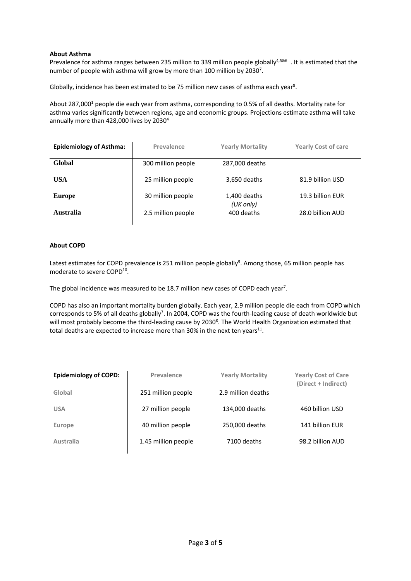## **About Asthma**

Prevalence for asthma ranges between 235 million to 339 million people globally<sup>4,5&6</sup>. It is estimated that the number of people with asthma will grow by more than 100 million by 2030<sup>7</sup>.

Globally, incidence has been estimated to be 75 million new cases of asthma each year<sup>8</sup>.

About 287,000<sup>1</sup> people die each year from asthma, corresponding to 0.5% of all deaths. Mortality rate for asthma varies significantly between regions, age and economic groups. Projections estimate asthma will take annually more than 428,000 lives by 2030<sup>4</sup>

| <b>Epidemiology of Asthma:</b> | Prevalence         | <b>Yearly Mortality</b>   | <b>Yearly Cost of care</b> |
|--------------------------------|--------------------|---------------------------|----------------------------|
| Global                         | 300 million people | 287,000 deaths            |                            |
| USA                            | 25 million people  | 3,650 deaths              | 81.9 billion USD           |
| Europe                         | 30 million people  | 1,400 deaths<br>(UK only) | 19.3 billion EUR           |
| Australia                      | 2.5 million people | 400 deaths                | 28.0 billion AUD           |

## **About COPD**

Latest estimates for COPD prevalence is 251 million people globally<sup>9</sup>. Among those, 65 million people has moderate to severe COPD<sup>10</sup>.

The global incidence was measured to be 18.7 million new cases of COPD each year<sup>7</sup>.

COPD has also an important mortality burden globally. Each year, 2.9 million people die each from COPD which corresponds to 5% of all deaths globally<sup>7</sup>. In 2004, COPD was the fourth-leading cause of death worldwide but will most probably become the third-leading cause by 2030<sup>8</sup>. The World Health Organization estimated that total deaths are expected to increase more than 30% in the next ten years<sup>11</sup>.

| <b>Epidemiology of COPD:</b> | Prevalence          | <b>Yearly Mortality</b> | <b>Yearly Cost of Care</b><br>(Direct + Indirect) |
|------------------------------|---------------------|-------------------------|---------------------------------------------------|
| Global                       | 251 million people  | 2.9 million deaths      |                                                   |
| <b>USA</b>                   | 27 million people   | 134,000 deaths          | 460 billion USD                                   |
| Europe                       | 40 million people   | 250,000 deaths          | 141 billion EUR                                   |
| Australia                    | 1.45 million people | 7100 deaths             | 98.2 billion AUD                                  |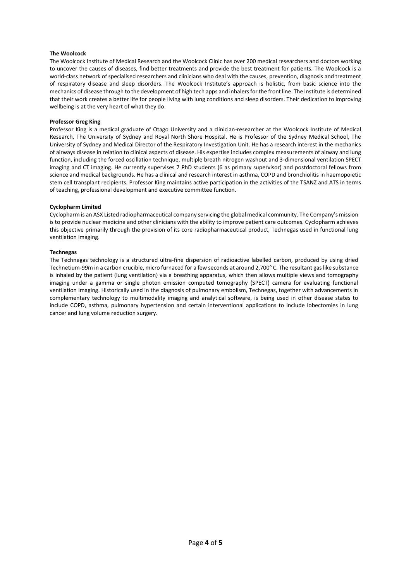### **The Woolcock**

The Woolcock Institute of Medical Research and the Woolcock Clinic has over 200 medical researchers and doctors working to uncover the causes of diseases, find better treatments and provide the best treatment for patients. The Woolcock is a world-class network of specialised researchers and clinicians who deal with the causes, prevention, diagnosis and treatment of respiratory disease and sleep disorders. The Woolcock Institute's approach is holistic, from basic science into the mechanics of disease through to the development of high tech apps and inhalers for the front line. The Institute is determined that their work creates a better life for people living with lung conditions and sleep disorders. Their dedication to improving wellbeing is at the very heart of what they do.

#### **Professor Greg King**

Professor King is a medical graduate of Otago University and a clinician-researcher at the Woolcock Institute of Medical Research, The University of Sydney and Royal North Shore Hospital. He is Professor of the Sydney Medical School, The University of Sydney and Medical Director of the Respiratory Investigation Unit. He has a research interest in the mechanics of airways disease in relation to clinical aspects of disease. His expertise includes complex measurements of airway and lung function, including the forced oscillation technique, multiple breath nitrogen washout and 3-dimensional ventilation SPECT imaging and CT imaging. He currently supervises 7 PhD students (6 as primary supervisor) and postdoctoral fellows from science and medical backgrounds. He has a clinical and research interest in asthma, COPD and bronchiolitis in haemopoietic stem cell transplant recipients. Professor King maintains active participation in the activities of the TSANZ and ATS in terms of teaching, professional development and executive committee function.

#### **Cyclopharm Limited**

Cyclopharm is an ASX Listed radiopharmaceutical company servicing the global medical community. The Company's mission is to provide nuclear medicine and other clinicians with the ability to improve patient care outcomes. Cyclopharm achieves this objective primarily through the provision of its core radiopharmaceutical product, Technegas used in functional lung ventilation imaging.

#### **Technegas**

The Technegas technology is a structured ultra-fine dispersion of radioactive labelled carbon, produced by using dried Technetium-99m in a carbon crucible, micro furnaced for a few seconds at around 2,700° C. The resultant gas like substance is inhaled by the patient (lung ventilation) via a breathing apparatus, which then allows multiple views and tomography imaging under a gamma or single photon emission computed tomography (SPECT) camera for evaluating functional ventilation imaging. Historically used in the diagnosis of pulmonary embolism, Technegas, together with advancements in complementary technology to multimodality imaging and analytical software, is being used in other disease states to include COPD, asthma, pulmonary hypertension and certain interventional applications to include lobectomies in lung cancer and lung volume reduction surgery.